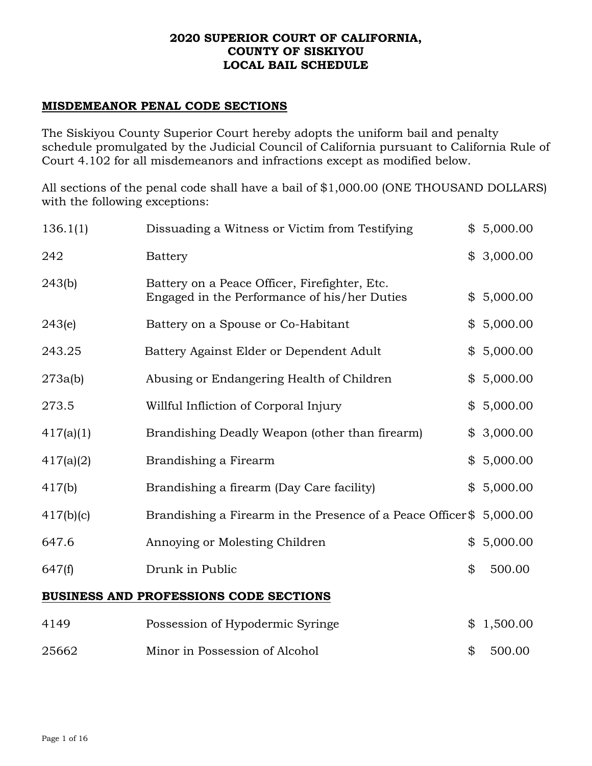### **2020 SUPERIOR COURT OF CALIFORNIA, COUNTY OF SISKIYOU LOCAL BAIL SCHEDULE**

# **MISDEMEANOR PENAL CODE SECTIONS**

The Siskiyou County Superior Court hereby adopts the uniform bail and penalty schedule promulgated by the Judicial Council of California pursuant to California Rule of Court 4.102 for all misdemeanors and infractions except as modified below.

All sections of the penal code shall have a bail of \$1,000.00 (ONE THOUSAND DOLLARS) with the following exceptions:

| 136.1(1)  | Dissuading a Witness or Victim from Testifying                                                | \$5,000.00     |
|-----------|-----------------------------------------------------------------------------------------------|----------------|
| 242       | <b>Battery</b>                                                                                | \$3,000.00     |
| 243(b)    | Battery on a Peace Officer, Firefighter, Etc.<br>Engaged in the Performance of his/her Duties | \$5,000.00     |
| 243(e)    | Battery on a Spouse or Co-Habitant                                                            | \$5,000.00     |
| 243.25    | Battery Against Elder or Dependent Adult                                                      | \$5,000.00     |
| 273a(b)   | Abusing or Endangering Health of Children                                                     | \$5,000.00     |
| 273.5     | Willful Infliction of Corporal Injury                                                         | \$5,000.00     |
| 417(a)(1) | Brandishing Deadly Weapon (other than firearm)                                                | \$3,000.00     |
| 417(a)(2) | Brandishing a Firearm                                                                         | \$5,000.00     |
| 417(b)    | Brandishing a firearm (Day Care facility)                                                     | \$<br>5,000.00 |
| 417(b)(c) | Brandishing a Firearm in the Presence of a Peace Officer\$                                    | 5,000.00       |
| 647.6     | Annoying or Molesting Children                                                                | \$<br>5,000.00 |
| 647(f)    | Drunk in Public                                                                               | \$<br>500.00   |
|           | <b>BUSINESS AND PROFESSIONS CODE SECTIONS</b>                                                 |                |
| 4149      | Possession of Hypodermic Syringe                                                              | \$<br>1,500.00 |

| 25662 | Minor in Possession of Alcohol | \$500.00 |
|-------|--------------------------------|----------|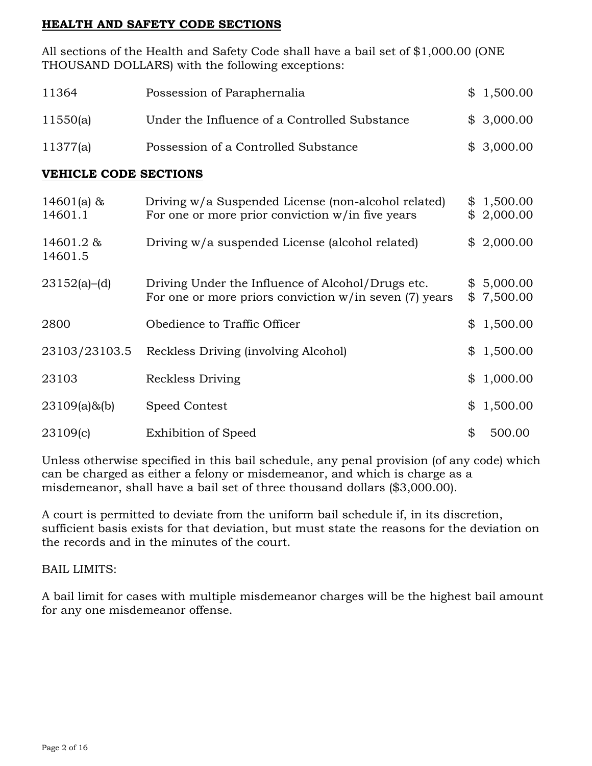# **HEALTH AND SAFETY CODE SECTIONS**

All sections of the Health and Safety Code shall have a bail set of \$1,000.00 (ONE THOUSAND DOLLARS) with the following exceptions:

| 11364                        | Possession of Paraphernalia                                                                                   | \$1,500.00               |
|------------------------------|---------------------------------------------------------------------------------------------------------------|--------------------------|
| 11550(a)                     | Under the Influence of a Controlled Substance                                                                 | \$3,000.00               |
| 11377(a)                     | Possession of a Controlled Substance                                                                          | \$3,000.00               |
| <b>VEHICLE CODE SECTIONS</b> |                                                                                                               |                          |
| $14601(a)$ &<br>14601.1      | Driving w/a Suspended License (non-alcohol related)<br>For one or more prior conviction $w/in$ five years     | \$1,500.00<br>\$2,000.00 |
| 14601.2 &<br>14601.5         | Driving w/a suspended License (alcohol related)                                                               | \$2,000.00               |
| 23152(a)–(d)                 | Driving Under the Influence of Alcohol/Drugs etc.<br>For one or more priors conviction $w/in$ seven (7) years | \$5,000.00<br>\$7,500.00 |
| 2800                         | Obedience to Traffic Officer                                                                                  | \$1,500.00               |
| 23103/23103.5                | Reckless Driving (involving Alcohol)                                                                          | \$1,500.00               |
| 23103                        | Reckless Driving                                                                                              | 1,000.00                 |

|          |                     | .        |
|----------|---------------------|----------|
| 23109(c) | Exhibition of Speed | \$500.00 |

23109(a)&(b) Speed Contest \$ 1,500.00

Unless otherwise specified in this bail schedule, any penal provision (of any code) which can be charged as either a felony or misdemeanor, and which is charge as a misdemeanor, shall have a bail set of three thousand dollars (\$3,000.00).

A court is permitted to deviate from the uniform bail schedule if, in its discretion, sufficient basis exists for that deviation, but must state the reasons for the deviation on the records and in the minutes of the court.

BAIL LIMITS:

A bail limit for cases with multiple misdemeanor charges will be the highest bail amount for any one misdemeanor offense.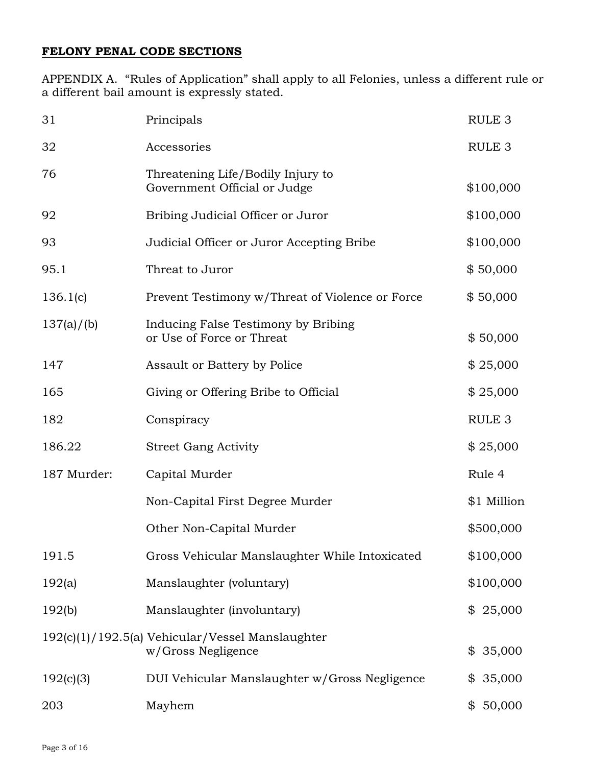# **FELONY PENAL CODE SECTIONS**

APPENDIX A. "Rules of Application" shall apply to all Felonies, unless a different rule or a different bail amount is expressly stated.

| 31          | Principals                                                             | RULE <sub>3</sub> |
|-------------|------------------------------------------------------------------------|-------------------|
| 32          | Accessories                                                            | RULE <sub>3</sub> |
| 76          | Threatening Life/Bodily Injury to<br>Government Official or Judge      | \$100,000         |
| 92          | Bribing Judicial Officer or Juror                                      | \$100,000         |
| 93          | Judicial Officer or Juror Accepting Bribe                              | \$100,000         |
| 95.1        | Threat to Juror                                                        | \$50,000          |
| 136.1(c)    | Prevent Testimony w/Threat of Violence or Force                        | \$50,000          |
| 137(a)/(b)  | Inducing False Testimony by Bribing<br>or Use of Force or Threat       | \$50,000          |
| 147         | Assault or Battery by Police                                           | \$25,000          |
| 165         | Giving or Offering Bribe to Official                                   | \$25,000          |
| 182         | Conspiracy                                                             | RULE <sub>3</sub> |
| 186.22      | <b>Street Gang Activity</b>                                            | \$25,000          |
| 187 Murder: | Capital Murder                                                         | Rule 4            |
|             | Non-Capital First Degree Murder                                        | \$1 Million       |
|             | Other Non-Capital Murder                                               | \$500,000         |
| 191.5       | Gross Vehicular Manslaughter While Intoxicated                         | \$100,000         |
| 192(a)      | Manslaughter (voluntary)                                               | \$100,000         |
| 192(b)      | Manslaughter (involuntary)                                             | \$25,000          |
|             | 192(c)(1)/192.5(a) Vehicular/Vessel Manslaughter<br>w/Gross Negligence | 35,000<br>\$      |
| 192(c)(3)   | DUI Vehicular Manslaughter w/Gross Negligence                          | 35,000<br>\$      |
| 203         | Mayhem                                                                 | 50,000<br>\$      |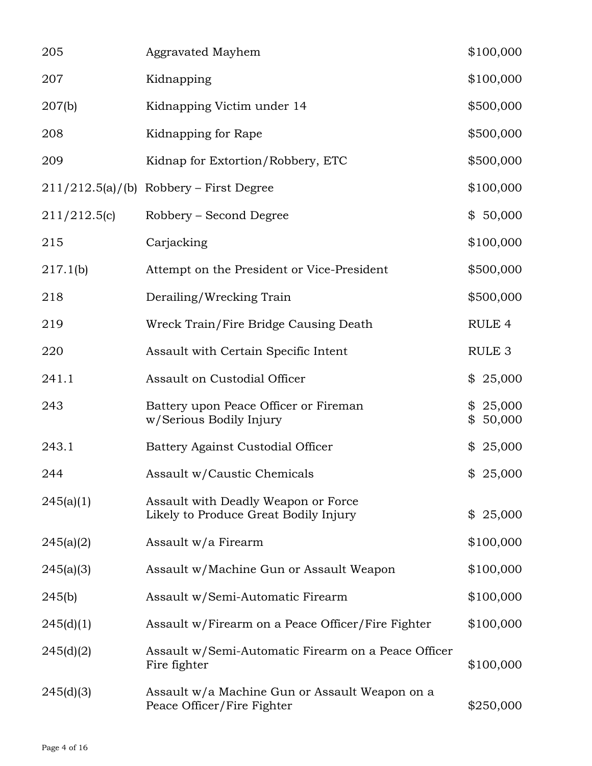| 205          | <b>Aggravated Mayhem</b>                                                     | \$100,000            |
|--------------|------------------------------------------------------------------------------|----------------------|
| 207          | Kidnapping                                                                   | \$100,000            |
| 207(b)       | Kidnapping Victim under 14                                                   | \$500,000            |
| 208          | Kidnapping for Rape                                                          | \$500,000            |
| 209          | Kidnap for Extortion/Robbery, ETC                                            | \$500,000            |
|              | $211/212.5(a)/(b)$ Robbery – First Degree                                    | \$100,000            |
| 211/212.5(c) | Robbery – Second Degree                                                      | \$50,000             |
| 215          | Carjacking                                                                   | \$100,000            |
| 217.1(b)     | Attempt on the President or Vice-President                                   | \$500,000            |
| 218          | Derailing/Wrecking Train                                                     | \$500,000            |
| 219          | Wreck Train/Fire Bridge Causing Death                                        | RULE <sub>4</sub>    |
| 220          | Assault with Certain Specific Intent                                         | RULE <sub>3</sub>    |
| 241.1        | Assault on Custodial Officer                                                 | 25,000<br>\$         |
| 243          | Battery upon Peace Officer or Fireman<br>w/Serious Bodily Injury             | \$25,000<br>\$50,000 |
| 243.1        | Battery Against Custodial Officer                                            | \$25,000             |
| 244          | Assault w/Caustic Chemicals                                                  | \$25,000             |
| 245(a)(1)    | Assault with Deadly Weapon or Force<br>Likely to Produce Great Bodily Injury | \$25,000             |
| 245(a)(2)    | Assault w/a Firearm                                                          | \$100,000            |
| 245(a)(3)    | Assault w/Machine Gun or Assault Weapon                                      | \$100,000            |
| 245(b)       | Assault w/Semi-Automatic Firearm                                             | \$100,000            |
| 245(d)(1)    | Assault w/Firearm on a Peace Officer/Fire Fighter                            | \$100,000            |
| 245(d)(2)    | Assault w/Semi-Automatic Firearm on a Peace Officer<br>Fire fighter          | \$100,000            |
| 245(d)(3)    | Assault w/a Machine Gun or Assault Weapon on a<br>Peace Officer/Fire Fighter | \$250,000            |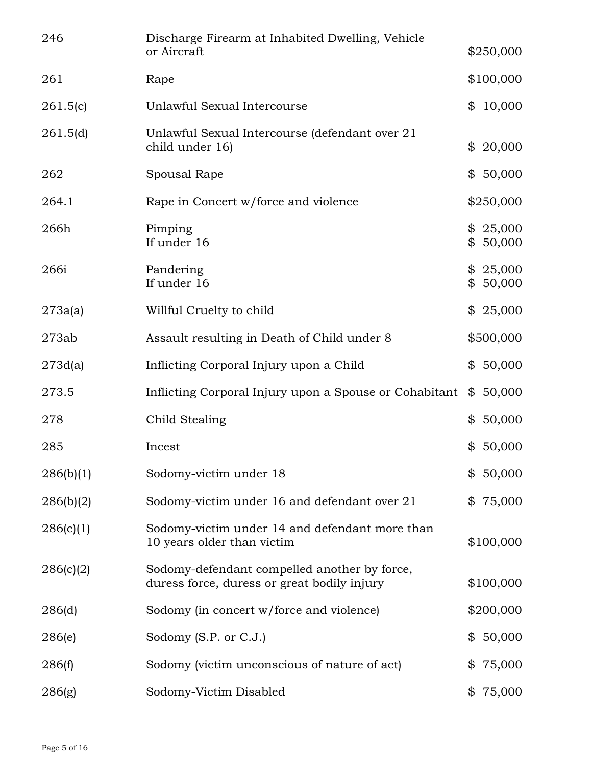| 246       | Discharge Firearm at Inhabited Dwelling, Vehicle<br>or Aircraft                             | \$250,000                |
|-----------|---------------------------------------------------------------------------------------------|--------------------------|
| 261       | Rape                                                                                        | \$100,000                |
| 261.5(c)  | Unlawful Sexual Intercourse                                                                 | 10,000<br>\$             |
| 261.5(d)  | Unlawful Sexual Intercourse (defendant over 21<br>child under 16)                           | 20,000<br>\$             |
| 262       | Spousal Rape                                                                                | 50,000<br>\$             |
| 264.1     | Rape in Concert w/force and violence                                                        | \$250,000                |
| 266h      | Pimping<br>If under 16                                                                      | \$25,000<br>50,000<br>\$ |
| 266i      | Pandering<br>If under 16                                                                    | \$25,000<br>\$50,000     |
| 273a(a)   | Willful Cruelty to child                                                                    | \$25,000                 |
| 273ab     | Assault resulting in Death of Child under 8                                                 | \$500,000                |
| 273d(a)   | Inflicting Corporal Injury upon a Child                                                     | 50,000<br>\$             |
| 273.5     | Inflicting Corporal Injury upon a Spouse or Cohabitant                                      | 50,000<br>\$             |
| 278       | Child Stealing                                                                              | 50,000<br>\$             |
| 285       | Incest                                                                                      | 50,000<br>\$             |
| 286(b)(1) | Sodomy-victim under 18                                                                      | 50,000<br>\$             |
| 286(b)(2) | Sodomy-victim under 16 and defendant over 21                                                | 75,000<br>\$             |
| 286(c)(1) | Sodomy-victim under 14 and defendant more than<br>10 years older than victim                | \$100,000                |
| 286(c)(2) | Sodomy-defendant compelled another by force,<br>duress force, duress or great bodily injury | \$100,000                |
| 286(d)    | Sodomy (in concert w/force and violence)                                                    | \$200,000                |
| 286(e)    | Sodomy (S.P. or C.J.)                                                                       | 50,000<br>\$             |
| 286(f)    | Sodomy (victim unconscious of nature of act)                                                | 75,000<br>\$             |
| 286(g)    | Sodomy-Victim Disabled                                                                      | 75,000<br>\$             |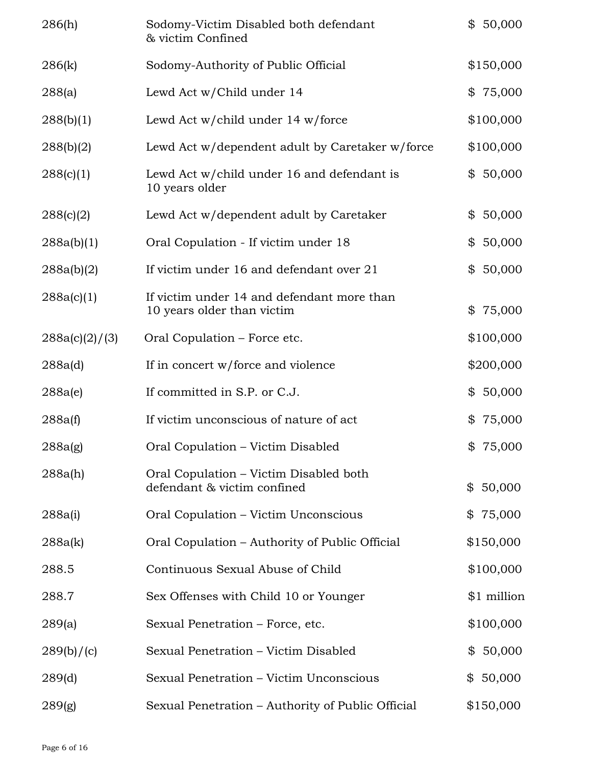| 286(h)         | Sodomy-Victim Disabled both defendant<br>& victim Confined               | \$50,000     |
|----------------|--------------------------------------------------------------------------|--------------|
| 286(k)         | Sodomy-Authority of Public Official                                      | \$150,000    |
| 288(a)         | Lewd Act w/Child under 14                                                | \$75,000     |
| 288(b)(1)      | Lewd Act w/child under 14 w/force                                        | \$100,000    |
| 288(b)(2)      | Lewd Act w/dependent adult by Caretaker w/force                          | \$100,000    |
| 288(c)(1)      | Lewd Act w/child under 16 and defendant is<br>10 years older             | 50,000<br>\$ |
| 288(c)(2)      | Lewd Act w/dependent adult by Caretaker                                  | 50,000<br>\$ |
| 288a(b)(1)     | Oral Copulation - If victim under 18                                     | 50,000<br>\$ |
| 288a(b)(2)     | If victim under 16 and defendant over 21                                 | 50,000<br>\$ |
| 288a(c)(1)     | If victim under 14 and defendant more than<br>10 years older than victim | 75,000<br>\$ |
| 288a(c)(2)/(3) | Oral Copulation – Force etc.                                             | \$100,000    |
| 288a(d)        | If in concert w/force and violence                                       | \$200,000    |
| 288a(e)        | If committed in S.P. or C.J.                                             | 50,000<br>\$ |
| 288a(f)        | If victim unconscious of nature of act                                   | 75,000<br>\$ |
| 288a(g)        | Oral Copulation - Victim Disabled                                        | \$75,000     |
| 288a(h)        | Oral Copulation – Victim Disabled both<br>defendant & victim confined    | \$50,000     |
| 288a(i)        | Oral Copulation - Victim Unconscious                                     | \$75,000     |
| 288a(k)        | Oral Copulation – Authority of Public Official                           | \$150,000    |
| 288.5          | Continuous Sexual Abuse of Child                                         | \$100,000    |
| 288.7          | Sex Offenses with Child 10 or Younger                                    | \$1 million  |
| 289(a)         | Sexual Penetration – Force, etc.                                         | \$100,000    |
| 289(b)/(c)     | Sexual Penetration - Victim Disabled                                     | \$50,000     |
| 289(d)         | Sexual Penetration - Victim Unconscious                                  | \$50,000     |
| 289(g)         | Sexual Penetration - Authority of Public Official                        | \$150,000    |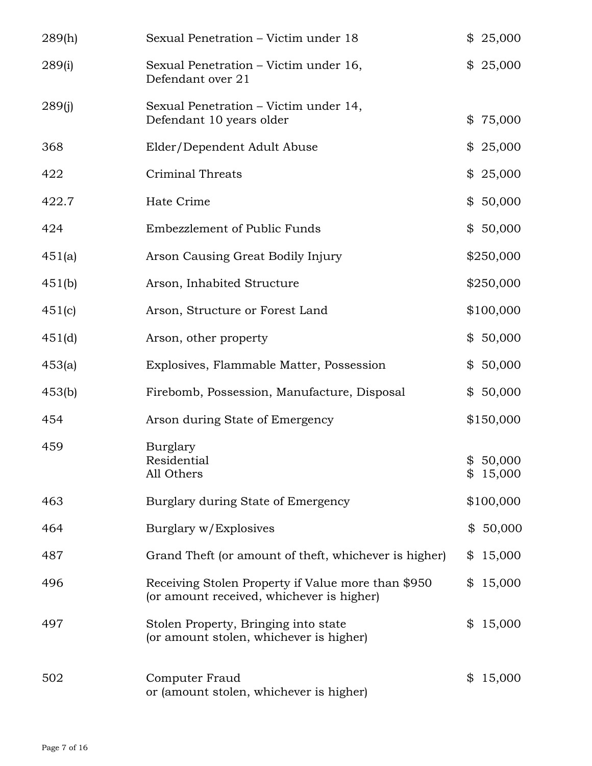| 289(h) | Sexual Penetration – Victim under 18                                                            | \$25,000             |
|--------|-------------------------------------------------------------------------------------------------|----------------------|
| 289(i) | Sexual Penetration – Victim under 16,<br>Defendant over 21                                      | \$25,000             |
| 289(j) | Sexual Penetration – Victim under 14,<br>Defendant 10 years older                               | \$75,000             |
| 368    | Elder/Dependent Adult Abuse                                                                     | \$25,000             |
| 422    | Criminal Threats                                                                                | \$25,000             |
| 422.7  | Hate Crime                                                                                      | \$50,000             |
| 424    | Embezzlement of Public Funds                                                                    | \$50,000             |
| 451(a) | Arson Causing Great Bodily Injury                                                               | \$250,000            |
| 451(b) | Arson, Inhabited Structure                                                                      | \$250,000            |
| 451(c) | Arson, Structure or Forest Land                                                                 | \$100,000            |
| 451(d) | Arson, other property                                                                           | \$50,000             |
| 453(a) | Explosives, Flammable Matter, Possession                                                        | \$50,000             |
| 453(b) | Firebomb, Possession, Manufacture, Disposal                                                     | \$50,000             |
| 454    | Arson during State of Emergency                                                                 | \$150,000            |
| 459    | Burglary<br>Residential<br>All Others                                                           | \$50,000<br>\$15,000 |
| 463    | Burglary during State of Emergency                                                              | \$100,000            |
| 464    | Burglary w/Explosives                                                                           | \$50,000             |
| 487    | Grand Theft (or amount of theft, whichever is higher)                                           | 15,000<br>\$         |
| 496    | Receiving Stolen Property if Value more than \$950<br>(or amount received, whichever is higher) | 15,000<br>\$         |
| 497    | Stolen Property, Bringing into state<br>(or amount stolen, whichever is higher)                 | 15,000<br>\$         |
| 502    | Computer Fraud<br>or (amount stolen, whichever is higher)                                       | 15,000<br>\$         |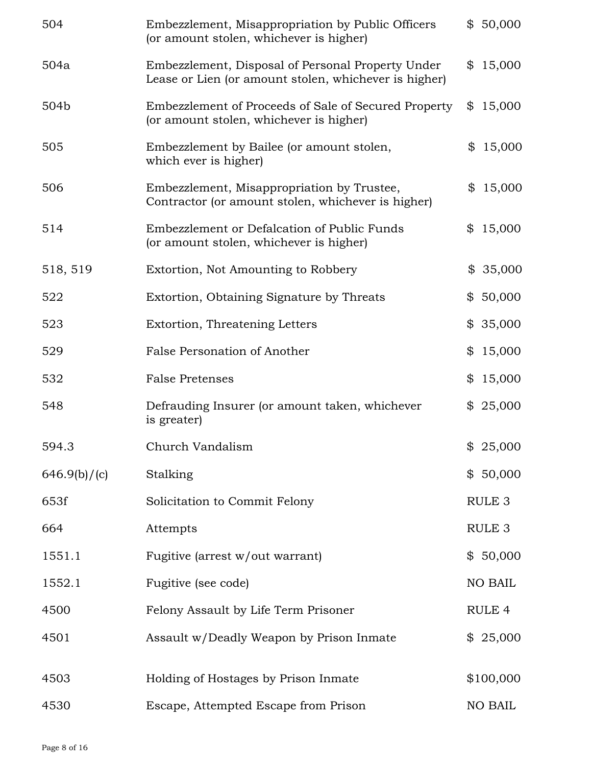| 504          | Embezzlement, Misappropriation by Public Officers<br>(or amount stolen, whichever is higher)               | \$50,000          |
|--------------|------------------------------------------------------------------------------------------------------------|-------------------|
| 504a         | Embezzlement, Disposal of Personal Property Under<br>Lease or Lien (or amount stolen, whichever is higher) | \$<br>15,000      |
| 504b         | Embezzlement of Proceeds of Sale of Secured Property<br>(or amount stolen, whichever is higher)            | \$<br>15,000      |
| 505          | Embezzlement by Bailee (or amount stolen,<br>which ever is higher)                                         | \$<br>15,000      |
| 506          | Embezzlement, Misappropriation by Trustee,<br>Contractor (or amount stolen, whichever is higher)           | \$<br>15,000      |
| 514          | Embezzlement or Defalcation of Public Funds<br>(or amount stolen, whichever is higher)                     | \$<br>15,000      |
| 518, 519     | Extortion, Not Amounting to Robbery                                                                        | \$<br>35,000      |
| 522          | Extortion, Obtaining Signature by Threats                                                                  | \$<br>50,000      |
| 523          | Extortion, Threatening Letters                                                                             | \$35,000          |
| 529          | False Personation of Another                                                                               | \$<br>15,000      |
| 532          | <b>False Pretenses</b>                                                                                     | \$<br>15,000      |
| 548          | Defrauding Insurer (or amount taken, whichever<br>is greater)                                              | \$25,000          |
| 594.3        | Church Vandalism                                                                                           | \$25,000          |
| 646.9(b)/(c) | Stalking                                                                                                   | \$50,000          |
| 653f         | Solicitation to Commit Felony                                                                              | RULE <sub>3</sub> |
| 664          | Attempts                                                                                                   | RULE <sub>3</sub> |
| 1551.1       | Fugitive (arrest w/out warrant)                                                                            | \$50,000          |
| 1552.1       | Fugitive (see code)                                                                                        | NO BAIL           |
| 4500         | Felony Assault by Life Term Prisoner                                                                       | RULE 4            |
| 4501         | Assault w/Deadly Weapon by Prison Inmate                                                                   | \$25,000          |
| 4503         | Holding of Hostages by Prison Inmate                                                                       | \$100,000         |
| 4530         | Escape, Attempted Escape from Prison                                                                       | NO BAIL           |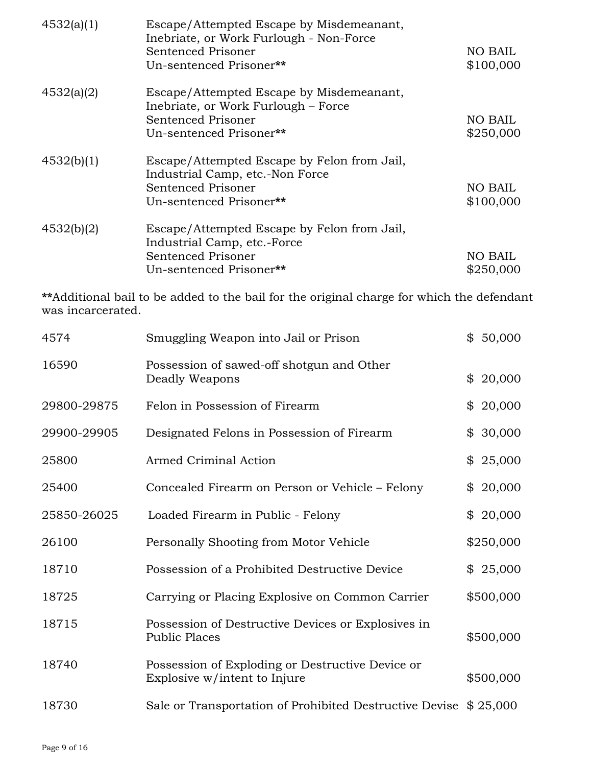| 4532(a)(1) | Escape/Attempted Escape by Misdemeanant,<br>Inebriate, or Work Furlough - Non-Force<br>Sentenced Prisoner<br>Un-sentenced Prisoner** | NO BAIL<br>\$100,000 |
|------------|--------------------------------------------------------------------------------------------------------------------------------------|----------------------|
|            |                                                                                                                                      |                      |
| 4532(a)(2) | Escape/Attempted Escape by Misdemeanant,<br>Inebriate, or Work Furlough – Force                                                      |                      |
|            | Sentenced Prisoner                                                                                                                   | NO BAIL              |
|            | Un-sentenced Prisoner**                                                                                                              | \$250,000            |
| 4532(b)(1) | Escape/Attempted Escape by Felon from Jail,                                                                                          |                      |
|            | Industrial Camp, etc.-Non Force                                                                                                      |                      |
|            | Sentenced Prisoner                                                                                                                   | NO BAIL              |
|            | Un-sentenced Prisoner**                                                                                                              | \$100,000            |
| 4532(b)(2) | Escape/Attempted Escape by Felon from Jail,                                                                                          |                      |
|            | Industrial Camp, etc.-Force                                                                                                          |                      |
|            | Sentenced Prisoner                                                                                                                   | NO BAIL              |
|            | Un-sentenced Prisoner**                                                                                                              | \$250,000            |

**\*\***Additional bail to be added to the bail for the original charge for which the defendant was incarcerated.

| 4574        | Smuggling Weapon into Jail or Prison                                             | \$50,000     |
|-------------|----------------------------------------------------------------------------------|--------------|
| 16590       | Possession of sawed-off shotgun and Other<br>Deadly Weapons                      | 20,000<br>\$ |
| 29800-29875 | Felon in Possession of Firearm                                                   | 20,000<br>\$ |
| 29900-29905 | Designated Felons in Possession of Firearm                                       | 30,000<br>\$ |
| 25800       | Armed Criminal Action                                                            | \$25,000     |
| 25400       | Concealed Firearm on Person or Vehicle – Felony                                  | 20,000<br>\$ |
| 25850-26025 | Loaded Firearm in Public - Felony                                                | \$20,000     |
| 26100       | Personally Shooting from Motor Vehicle                                           | \$250,000    |
| 18710       | Possession of a Prohibited Destructive Device                                    | \$25,000     |
| 18725       | Carrying or Placing Explosive on Common Carrier                                  | \$500,000    |
| 18715       | Possession of Destructive Devices or Explosives in<br><b>Public Places</b>       | \$500,000    |
| 18740       | Possession of Exploding or Destructive Device or<br>Explosive w/intent to Injure | \$500,000    |
| 18730       | Sale or Transportation of Prohibited Destructive Devise \$25,000                 |              |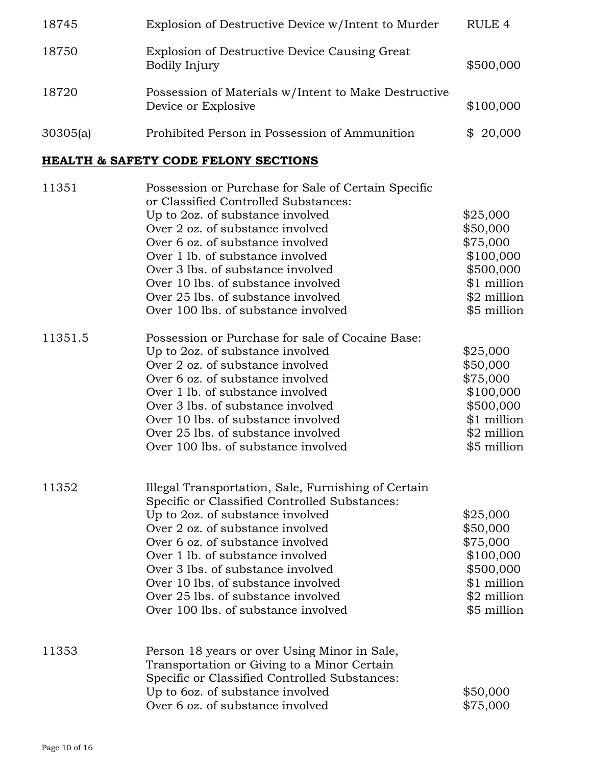| 18745                                           | Explosion of Destructive Device w/Intent to Murder                                                                                                                                                                                                                                                                                                                                                           | RULE <sub>4</sub>                                                                                       |  |  |  |  |  |
|-------------------------------------------------|--------------------------------------------------------------------------------------------------------------------------------------------------------------------------------------------------------------------------------------------------------------------------------------------------------------------------------------------------------------------------------------------------------------|---------------------------------------------------------------------------------------------------------|--|--|--|--|--|
| 18750                                           | Explosion of Destructive Device Causing Great<br>Bodily Injury                                                                                                                                                                                                                                                                                                                                               | \$500,000                                                                                               |  |  |  |  |  |
| 18720                                           | Possession of Materials w/Intent to Make Destructive<br>Device or Explosive                                                                                                                                                                                                                                                                                                                                  | \$100,000                                                                                               |  |  |  |  |  |
| 30305(a)                                        | Prohibited Person in Possession of Ammunition                                                                                                                                                                                                                                                                                                                                                                | \$20,000                                                                                                |  |  |  |  |  |
| <b>HEALTH &amp; SAFETY CODE FELONY SECTIONS</b> |                                                                                                                                                                                                                                                                                                                                                                                                              |                                                                                                         |  |  |  |  |  |
| 11351                                           | Possession or Purchase for Sale of Certain Specific<br>or Classified Controlled Substances:<br>Up to 2oz. of substance involved<br>Over 2 oz. of substance involved<br>Over 6 oz. of substance involved<br>Over 1 lb. of substance involved<br>Over 3 lbs. of substance involved<br>Over 10 lbs. of substance involved<br>Over 25 lbs. of substance involved<br>Over 100 lbs. of substance involved          | \$25,000<br>\$50,000<br>\$75,000<br>\$100,000<br>\$500,000<br>\$1 million<br>\$2 million<br>\$5 million |  |  |  |  |  |
| 11351.5                                         | Possession or Purchase for sale of Cocaine Base:<br>Up to 2oz. of substance involved<br>Over 2 oz. of substance involved<br>Over 6 oz. of substance involved<br>Over 1 lb. of substance involved<br>Over 3 lbs. of substance involved<br>Over 10 lbs. of substance involved<br>Over 25 lbs. of substance involved<br>Over 100 lbs. of substance involved                                                     | \$25,000<br>\$50,000<br>\$75,000<br>\$100,000<br>\$500,000<br>\$1 million<br>\$2 million<br>\$5 million |  |  |  |  |  |
| 11352                                           | Illegal Transportation, Sale, Furnishing of Certain<br>Specific or Classified Controlled Substances:<br>Up to 2oz. of substance involved<br>Over 2 oz. of substance involved<br>Over 6 oz. of substance involved<br>Over 1 lb. of substance involved<br>Over 3 lbs. of substance involved<br>Over 10 lbs. of substance involved<br>Over 25 lbs. of substance involved<br>Over 100 lbs. of substance involved | \$25,000<br>\$50,000<br>\$75,000<br>\$100,000<br>\$500,000<br>\$1 million<br>\$2 million<br>\$5 million |  |  |  |  |  |

11353 Person 18 years or over Using Minor in Sale, Transportation or Giving to a Minor Certain Specific or Classified Controlled Substances: Up to 6oz. of substance involved \$50,000<br>Over 6 oz. of substance involved \$75,000 Over  $6$  oz. of substance involved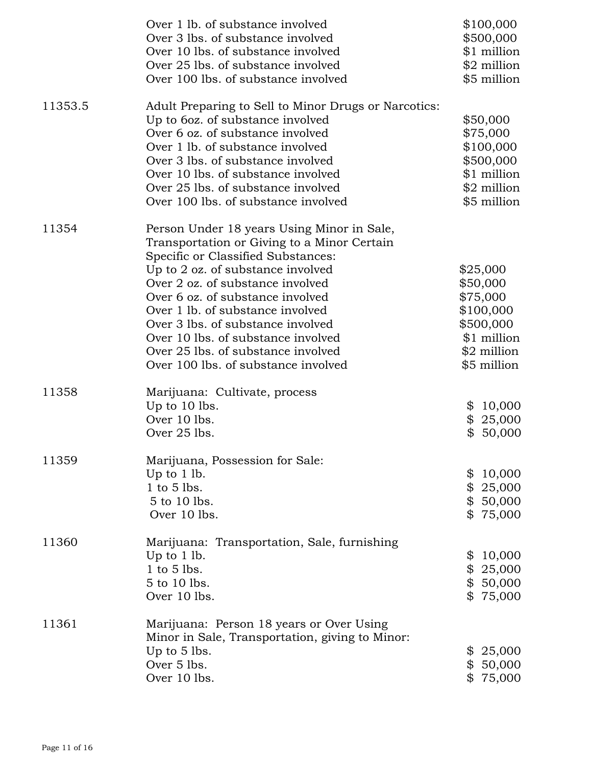|         | Over 1 lb. of substance involved<br>Over 3 lbs. of substance involved | \$100,000<br>\$500,000 |
|---------|-----------------------------------------------------------------------|------------------------|
|         | Over 10 lbs. of substance involved                                    | \$1 million            |
|         | Over 25 lbs. of substance involved                                    | \$2 million            |
|         | Over 100 lbs. of substance involved                                   | \$5 million            |
| 11353.5 | Adult Preparing to Sell to Minor Drugs or Narcotics:                  |                        |
|         | Up to 6oz. of substance involved                                      | \$50,000               |
|         | Over 6 oz. of substance involved                                      | \$75,000               |
|         | Over 1 lb. of substance involved                                      | \$100,000              |
|         | Over 3 lbs. of substance involved                                     | \$500,000              |
|         | Over 10 lbs. of substance involved                                    | \$1 million            |
|         | Over 25 lbs. of substance involved                                    | \$2 million            |
|         | Over 100 lbs. of substance involved                                   | \$5 million            |
| 11354   | Person Under 18 years Using Minor in Sale,                            |                        |
|         | Transportation or Giving to a Minor Certain                           |                        |
|         | Specific or Classified Substances:                                    |                        |
|         | Up to 2 oz. of substance involved                                     | \$25,000               |
|         | Over 2 oz. of substance involved                                      | \$50,000               |
|         | Over 6 oz. of substance involved                                      | \$75,000               |
|         | Over 1 lb. of substance involved                                      | \$100,000              |
|         | Over 3 lbs. of substance involved                                     | \$500,000              |
|         | Over 10 lbs. of substance involved                                    | \$1 million            |
|         | Over 25 lbs. of substance involved                                    | \$2 million            |
|         | Over 100 lbs. of substance involved                                   | \$5 million            |
| 11358   | Marijuana: Cultivate, process                                         |                        |
|         | Up to 10 lbs.                                                         | \$10,000               |
|         | Over 10 lbs.                                                          | \$25,000               |
|         | Over 25 lbs.                                                          | \$50,000               |
| 11359   | Marijuana, Possession for Sale:                                       |                        |
|         | Up to $1$ lb.                                                         | \$<br>10,000           |
|         | $1$ to $5$ lbs.                                                       | \$25,000               |
|         | 5 to 10 lbs.                                                          | \$50,000               |
|         | Over 10 lbs.                                                          | \$75,000               |
| 11360   | Marijuana: Transportation, Sale, furnishing                           |                        |
|         | Up to $1$ lb.                                                         | \$<br>10,000           |
|         | 1 to 5 lbs.                                                           | \$25,000               |
|         | 5 to 10 lbs.                                                          | \$50,000               |
|         | Over 10 lbs.                                                          | \$75,000               |
| 11361   | Marijuana: Person 18 years or Over Using                              |                        |
|         | Minor in Sale, Transportation, giving to Minor:<br>Up to 5 lbs.       | \$25,000               |
|         | Over 5 lbs.                                                           | \$50,000               |
|         | Over 10 lbs.                                                          | \$75,000               |
|         |                                                                       |                        |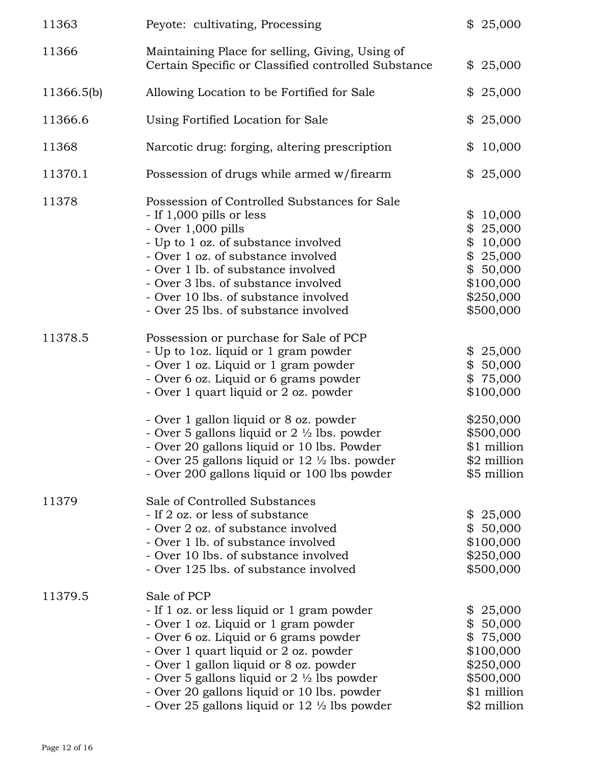| 11363      | Peyote: cultivating, Processing                                                                                                                                                                                                                                                                                                                                                                 | \$25,000                                                                                                    |
|------------|-------------------------------------------------------------------------------------------------------------------------------------------------------------------------------------------------------------------------------------------------------------------------------------------------------------------------------------------------------------------------------------------------|-------------------------------------------------------------------------------------------------------------|
| 11366      | Maintaining Place for selling, Giving, Using of<br>Certain Specific or Classified controlled Substance                                                                                                                                                                                                                                                                                          | \$25,000                                                                                                    |
| 11366.5(b) | Allowing Location to be Fortified for Sale                                                                                                                                                                                                                                                                                                                                                      | \$25,000                                                                                                    |
| 11366.6    | Using Fortified Location for Sale                                                                                                                                                                                                                                                                                                                                                               | \$25,000                                                                                                    |
| 11368      | Narcotic drug: forging, altering prescription                                                                                                                                                                                                                                                                                                                                                   | 10,000<br>\$                                                                                                |
| 11370.1    | Possession of drugs while armed w/firearm                                                                                                                                                                                                                                                                                                                                                       | \$25,000                                                                                                    |
| 11378      | Possession of Controlled Substances for Sale<br>- If 1,000 pills or less<br>- Over 1,000 pills<br>- Up to 1 oz. of substance involved<br>- Over 1 oz. of substance involved<br>- Over 1 lb. of substance involved<br>- Over 3 lbs. of substance involved<br>- Over 10 lbs. of substance involved<br>- Over 25 lbs. of substance involved                                                        | \$<br>10,000<br>\$<br>25,000<br>\$<br>10,000<br>\$25,000<br>\$50,000<br>\$100,000<br>\$250,000<br>\$500,000 |
| 11378.5    | Possession or purchase for Sale of PCP<br>- Up to loz. liquid or 1 gram powder<br>- Over 1 oz. Liquid or 1 gram powder<br>- Over 6 oz. Liquid or 6 grams powder<br>- Over 1 quart liquid or 2 oz. powder                                                                                                                                                                                        | \$25,000<br>\$50,000<br>\$75,000<br>\$100,000                                                               |
|            | - Over 1 gallon liquid or 8 oz. powder<br>- Over 5 gallons liquid or $2 \frac{1}{2}$ lbs. powder<br>- Over 20 gallons liquid or 10 lbs. Powder<br>- Over 25 gallons liquid or $12 \frac{1}{2}$ lbs. powder<br>- Over 200 gallons liquid or 100 lbs powder                                                                                                                                       | \$250,000<br>\$500,000<br>\$1 million<br>\$2 million<br>\$5 million                                         |
| 11379      | Sale of Controlled Substances<br>- If 2 oz. or less of substance<br>- Over 2 oz. of substance involved<br>- Over 1 lb. of substance involved<br>- Over 10 lbs. of substance involved<br>- Over 125 lbs. of substance involved                                                                                                                                                                   | \$25,000<br>\$50,000<br>\$100,000<br>\$250,000<br>\$500,000                                                 |
| 11379.5    | Sale of PCP<br>- If 1 oz. or less liquid or 1 gram powder<br>- Over 1 oz. Liquid or 1 gram powder<br>- Over 6 oz. Liquid or 6 grams powder<br>- Over 1 quart liquid or 2 oz. powder<br>- Over 1 gallon liquid or 8 oz. powder<br>- Over 5 gallons liquid or $2 \frac{1}{2}$ lbs powder<br>- Over 20 gallons liquid or 10 lbs. powder<br>- Over 25 gallons liquid or $12 \frac{1}{2}$ lbs powder | \$25,000<br>\$50,000<br>\$75,000<br>\$100,000<br>\$250,000<br>\$500,000<br>\$1 million<br>\$2 million       |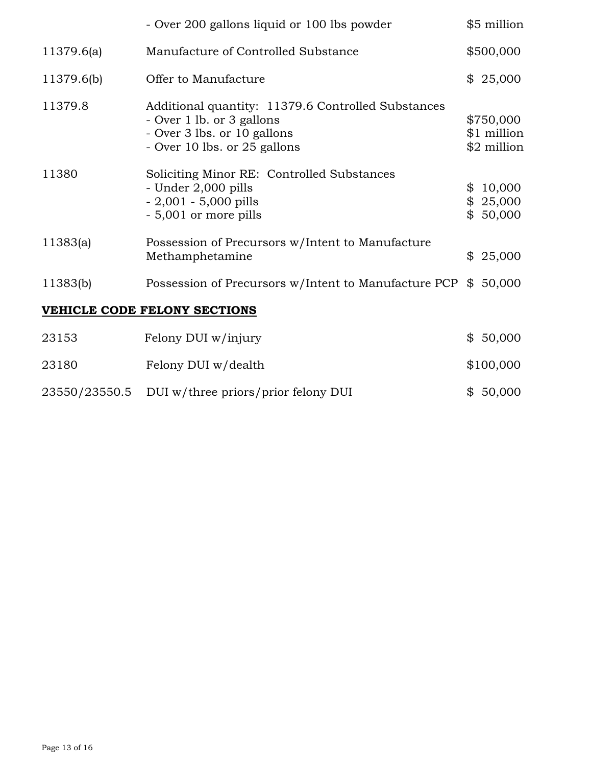|                              | - Over 200 gallons liquid or 100 lbs powder                                                                                                    |    | \$5 million                             |  |
|------------------------------|------------------------------------------------------------------------------------------------------------------------------------------------|----|-----------------------------------------|--|
| 11379.6(a)                   | Manufacture of Controlled Substance                                                                                                            |    | \$500,000                               |  |
| 11379.6(b)                   | Offer to Manufacture                                                                                                                           |    | \$25,000                                |  |
| 11379.8                      | Additional quantity: 11379.6 Controlled Substances<br>- Over 1 lb. or 3 gallons<br>- Over 3 lbs. or 10 gallons<br>- Over 10 lbs. or 25 gallons |    | \$750,000<br>\$1 million<br>\$2 million |  |
| 11380                        | Soliciting Minor RE: Controlled Substances<br>- Under 2,000 pills<br>$-2,001 - 5,000$ pills<br>- 5,001 or more pills                           | \$ | 10,000<br>\$25,000<br>\$50,000          |  |
| 11383(a)                     | Possession of Precursors w/Intent to Manufacture<br>Methamphetamine                                                                            | \$ | 25,000                                  |  |
| 11383(b)                     | Possession of Precursors w/Intent to Manufacture PCP \$                                                                                        |    | 50,000                                  |  |
| VEHICLE CODE FELONY SECTIONS |                                                                                                                                                |    |                                         |  |
| 23153                        | Felony DUI w/injury                                                                                                                            |    | \$50,000                                |  |
| 23180                        | Felony DUI w/dealth                                                                                                                            |    | \$100,000                               |  |
| 23550/23550.5                | DUI w/three priors/prior felony DUI                                                                                                            |    | \$50,000                                |  |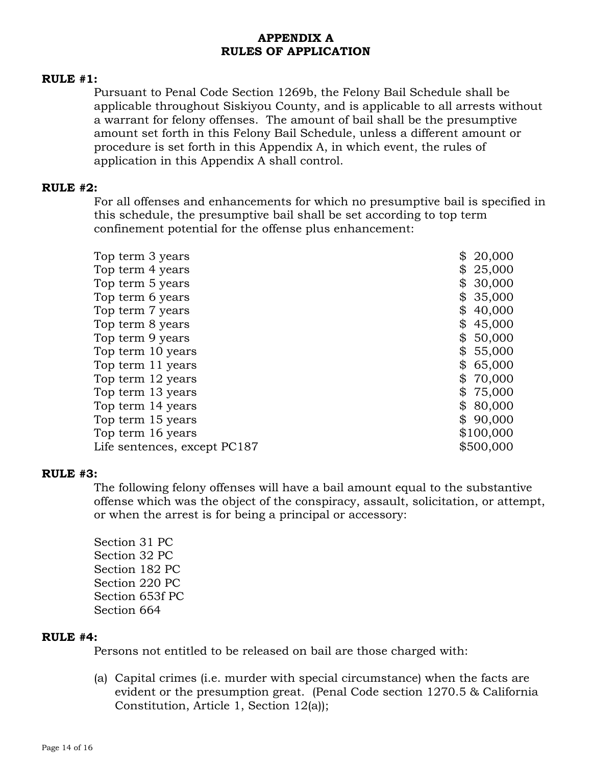# **APPENDIX A RULES OF APPLICATION**

#### **RULE #1:**

Pursuant to Penal Code Section 1269b, the Felony Bail Schedule shall be applicable throughout Siskiyou County, and is applicable to all arrests without a warrant for felony offenses. The amount of bail shall be the presumptive amount set forth in this Felony Bail Schedule, unless a different amount or procedure is set forth in this Appendix A, in which event, the rules of application in this Appendix A shall control.

#### **RULE #2:**

For all offenses and enhancements for which no presumptive bail is specified in this schedule, the presumptive bail shall be set according to top term confinement potential for the offense plus enhancement:

| Top term 3 years             | \$<br>20,000 |
|------------------------------|--------------|
| Top term 4 years             | 25,000<br>\$ |
| Top term 5 years             | 30,000       |
| Top term 6 years             | 35,000<br>\$ |
| Top term 7 years             | 40,000<br>\$ |
| Top term 8 years             | \$<br>45,000 |
| Top term 9 years             | 50,000<br>\$ |
| Top term 10 years            | \$<br>55,000 |
| Top term 11 years            | 65,000       |
| Top term 12 years            | 70,000<br>\$ |
| Top term 13 years            | 75,000<br>\$ |
| Top term 14 years            | 80,000       |
| Top term 15 years            | 90,000<br>\$ |
| Top term 16 years            | \$100,000    |
| Life sentences, except PC187 | \$500,000    |

#### **RULE #3:**

The following felony offenses will have a bail amount equal to the substantive offense which was the object of the conspiracy, assault, solicitation, or attempt, or when the arrest is for being a principal or accessory:

Section 31 PC Section 32 PC Section 182 PC Section 220 PC Section 653f PC Section 664

### **RULE #4:**

Persons not entitled to be released on bail are those charged with:

(a) Capital crimes (i.e. murder with special circumstance) when the facts are evident or the presumption great. (Penal Code section 1270.5 & California Constitution, Article 1, Section 12(a));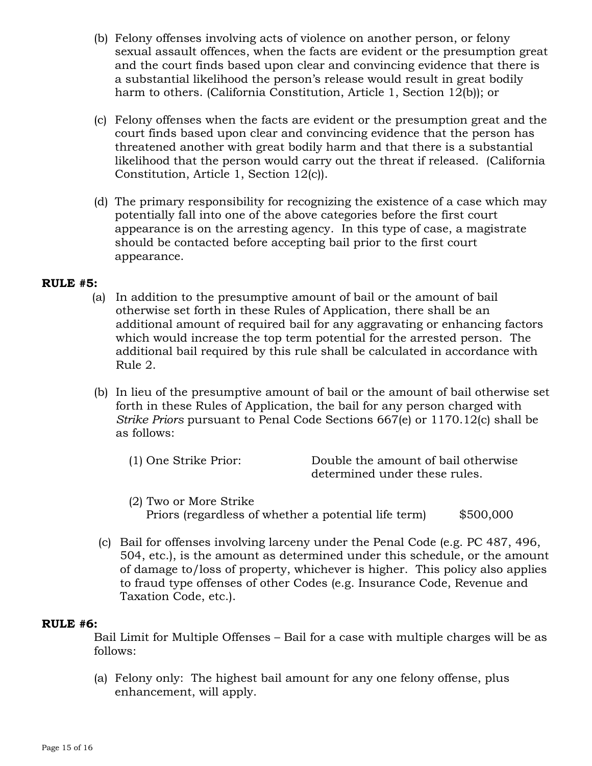- (b) Felony offenses involving acts of violence on another person, or felony sexual assault offences, when the facts are evident or the presumption great and the court finds based upon clear and convincing evidence that there is a substantial likelihood the person's release would result in great bodily harm to others. (California Constitution, Article 1, Section 12(b)); or
- (c) Felony offenses when the facts are evident or the presumption great and the court finds based upon clear and convincing evidence that the person has threatened another with great bodily harm and that there is a substantial likelihood that the person would carry out the threat if released. (California Constitution, Article 1, Section 12(c)).
- (d) The primary responsibility for recognizing the existence of a case which may potentially fall into one of the above categories before the first court appearance is on the arresting agency. In this type of case, a magistrate should be contacted before accepting bail prior to the first court appearance.

### **RULE #5:**

- (a) In addition to the presumptive amount of bail or the amount of bail otherwise set forth in these Rules of Application, there shall be an additional amount of required bail for any aggravating or enhancing factors which would increase the top term potential for the arrested person. The additional bail required by this rule shall be calculated in accordance with Rule 2.
- (b) In lieu of the presumptive amount of bail or the amount of bail otherwise set forth in these Rules of Application, the bail for any person charged with *Strike Priors* pursuant to Penal Code Sections 667(e) or 1170.12(c) shall be as follows:
	- (1) One Strike Prior: Double the amount of bail otherwise determined under these rules.
	- (2) Two or More Strike Priors (regardless of whether a potential life term) \$500,000
- (c) Bail for offenses involving larceny under the Penal Code (e.g. PC 487, 496, 504, etc.), is the amount as determined under this schedule, or the amount of damage to/loss of property, whichever is higher. This policy also applies to fraud type offenses of other Codes (e.g. Insurance Code, Revenue and Taxation Code, etc.).

### **RULE #6:**

Bail Limit for Multiple Offenses – Bail for a case with multiple charges will be as follows:

(a) Felony only: The highest bail amount for any one felony offense, plus enhancement, will apply.